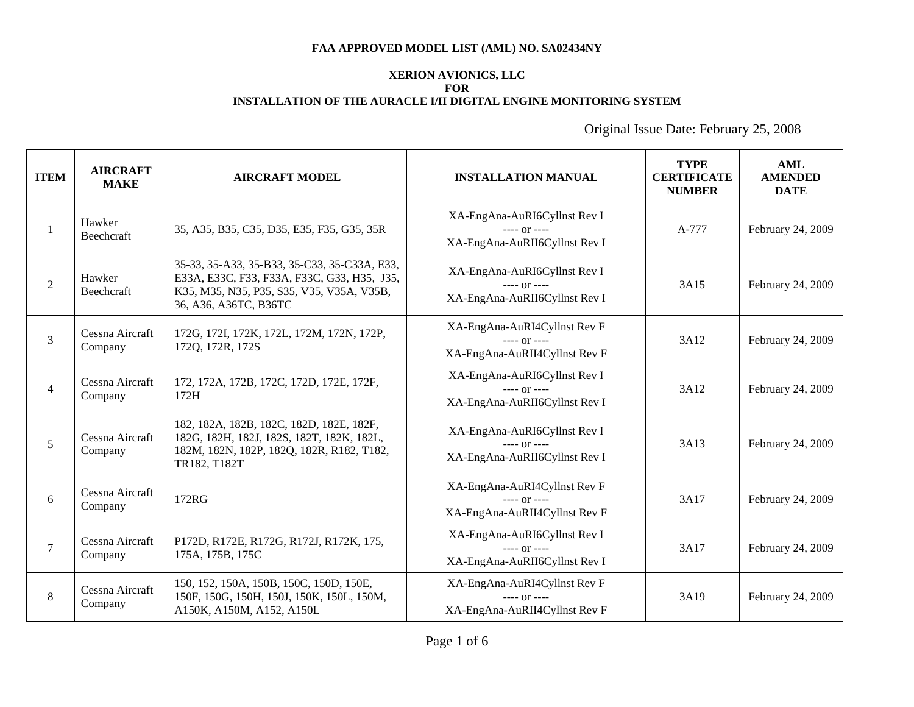# **XERION AVIONICS, LLC FOR INSTALLATION OF THE AURACLE I/II DIGITAL ENGINE MONITORING SYSTEM**

| <b>ITEM</b>    | <b>AIRCRAFT</b><br><b>MAKE</b> | <b>AIRCRAFT MODEL</b>                                                                                                                                             | <b>INSTALLATION MANUAL</b>                                                      | <b>TYPE</b><br><b>CERTIFICATE</b><br><b>NUMBER</b> | AML<br><b>AMENDED</b><br><b>DATE</b> |
|----------------|--------------------------------|-------------------------------------------------------------------------------------------------------------------------------------------------------------------|---------------------------------------------------------------------------------|----------------------------------------------------|--------------------------------------|
| 1              | Hawker<br>Beechcraft           | 35, A35, B35, C35, D35, E35, F35, G35, 35R                                                                                                                        | XA-EngAna-AuRI6Cyllnst Rev I<br>$---$ or $---$<br>XA-EngAna-AuRII6Cyllnst Rev I | A-777                                              | February 24, 2009                    |
| $\overline{2}$ | Hawker<br>Beechcraft           | 35-33, 35-A33, 35-B33, 35-C33, 35-C33A, E33,<br>E33A, E33C, F33, F33A, F33C, G33, H35, J35,<br>K35, M35, N35, P35, S35, V35, V35A, V35B,<br>36, A36, A36TC, B36TC | XA-EngAna-AuRI6Cyllnst Rev I<br>$---$ or $---$<br>XA-EngAna-AuRII6Cyllnst Rev I | 3A15                                               | February 24, 2009                    |
| 3              | Cessna Aircraft<br>Company     | 172G, 172I, 172K, 172L, 172M, 172N, 172P,<br>172Q, 172R, 172S                                                                                                     | XA-EngAna-AuRI4Cyllnst Rev F<br>$--- 0r$ ----<br>XA-EngAna-AuRII4Cyllnst Rev F  | 3A12                                               | February 24, 2009                    |
| $\overline{4}$ | Cessna Aircraft<br>Company     | 172, 172A, 172B, 172C, 172D, 172E, 172F,<br>172H                                                                                                                  | XA-EngAna-AuRI6Cyllnst Rev I<br>$--- or ---$<br>XA-EngAna-AuRII6Cyllnst Rev I   | 3A12                                               | February 24, 2009                    |
| 5              | Cessna Aircraft<br>Company     | 182, 182A, 182B, 182C, 182D, 182E, 182F,<br>182G, 182H, 182J, 182S, 182T, 182K, 182L,<br>182M, 182N, 182P, 182Q, 182R, R182, T182,<br>TR182, T182T                | XA-EngAna-AuRI6Cyllnst Rev I<br>$--- or ---$<br>XA-EngAna-AuRII6Cyllnst Rev I   | 3A13                                               | February 24, 2009                    |
| 6              | Cessna Aircraft<br>Company     | 172RG                                                                                                                                                             | XA-EngAna-AuRI4Cyllnst Rev F<br>$---$ Or $---$<br>XA-EngAna-AuRII4Cyllnst Rev F | 3A17                                               | February 24, 2009                    |
| $\tau$         | Cessna Aircraft<br>Company     | P172D, R172E, R172G, R172J, R172K, 175,<br>175A, 175B, 175C                                                                                                       | XA-EngAna-AuRI6Cyllnst Rev I<br>$--- or ---$<br>XA-EngAna-AuRII6Cyllnst Rev I   | 3A17                                               | February 24, 2009                    |
| 8              | Cessna Aircraft<br>Company     | 150, 152, 150A, 150B, 150C, 150D, 150E,<br>150F, 150G, 150H, 150J, 150K, 150L, 150M,<br>A150K, A150M, A152, A150L                                                 | XA-EngAna-AuRI4Cyllnst Rev F<br>$--- 0r$ ----<br>XA-EngAna-AuRII4Cyllnst Rev F  | 3A19                                               | February 24, 2009                    |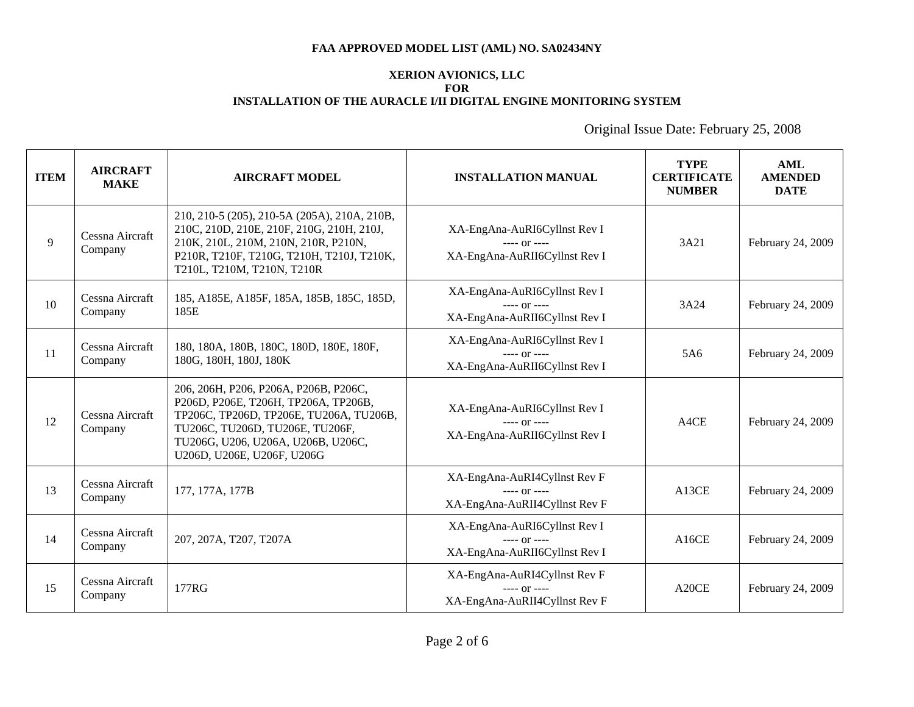# **XERION AVIONICS, LLC FOR INSTALLATION OF THE AURACLE I/II DIGITAL ENGINE MONITORING SYSTEM**

| <b>ITEM</b> | <b>AIRCRAFT</b><br><b>MAKE</b> | <b>AIRCRAFT MODEL</b>                                                                                                                                                                                                           | <b>INSTALLATION MANUAL</b>                                                      | <b>TYPE</b><br><b>CERTIFICATE</b><br><b>NUMBER</b> | AML<br><b>AMENDED</b><br><b>DATE</b> |
|-------------|--------------------------------|---------------------------------------------------------------------------------------------------------------------------------------------------------------------------------------------------------------------------------|---------------------------------------------------------------------------------|----------------------------------------------------|--------------------------------------|
| 9           | Cessna Aircraft<br>Company     | 210, 210-5 (205), 210-5A (205A), 210A, 210B,<br>210C, 210D, 210E, 210F, 210G, 210H, 210J,<br>210K, 210L, 210M, 210N, 210R, P210N,<br>P210R, T210F, T210G, T210H, T210J, T210K,<br>T210L, T210M, T210N, T210R                    | XA-EngAna-AuRI6Cyllnst Rev I<br>$--- or ---$<br>XA-EngAna-AuRII6Cyllnst Rev I   | 3A21                                               | February 24, 2009                    |
| 10          | Cessna Aircraft<br>Company     | 185, A185E, A185F, 185A, 185B, 185C, 185D,<br>185E                                                                                                                                                                              | XA-EngAna-AuRI6Cyllnst Rev I<br>$--- or ---$<br>XA-EngAna-AuRII6Cyllnst Rev I   | 3A24                                               | February 24, 2009                    |
| 11          | Cessna Aircraft<br>Company     | 180, 180A, 180B, 180C, 180D, 180E, 180F,<br>180G, 180H, 180J, 180K                                                                                                                                                              | XA-EngAna-AuRI6Cyllnst Rev I<br>$--- 0r$ ----<br>XA-EngAna-AuRII6Cyllnst Rev I  | 5A6                                                | February 24, 2009                    |
| 12          | Cessna Aircraft<br>Company     | 206, 206H, P206, P206A, P206B, P206C,<br>Р206D, Р206Е, Т206Н, ТР206А, ТР206В,<br>TP206C, TP206D, TP206E, TU206A, TU206B,<br>TU206C, TU206D, TU206E, TU206F,<br>TU206G, U206, U206A, U206B, U206C,<br>U206D, U206E, U206F, U206G | XA-EngAna-AuRI6Cyllnst Rev I<br>$--- or ---$<br>XA-EngAna-AuRII6Cyllnst Rev I   | A4CE                                               | February 24, 2009                    |
| 13          | Cessna Aircraft<br>Company     | 177, 177A, 177B                                                                                                                                                                                                                 | XA-EngAna-AuRI4Cyllnst Rev F<br>$--- or ---$<br>XA-EngAna-AuRII4Cyllnst Rev F   | A13CE                                              | February 24, 2009                    |
| 14          | Cessna Aircraft<br>Company     | 207, 207A, T207, T207A                                                                                                                                                                                                          | XA-EngAna-AuRI6Cyllnst Rev I<br>$--- or ---$<br>XA-EngAna-AuRII6Cyllnst Rev I   | A16CE                                              | February 24, 2009                    |
| 15          | Cessna Aircraft<br>Company     | 177RG                                                                                                                                                                                                                           | XA-EngAna-AuRI4Cyllnst Rev F<br>$---$ or $---$<br>XA-EngAna-AuRII4Cyllnst Rev F | A <sub>20</sub> CE                                 | February 24, 2009                    |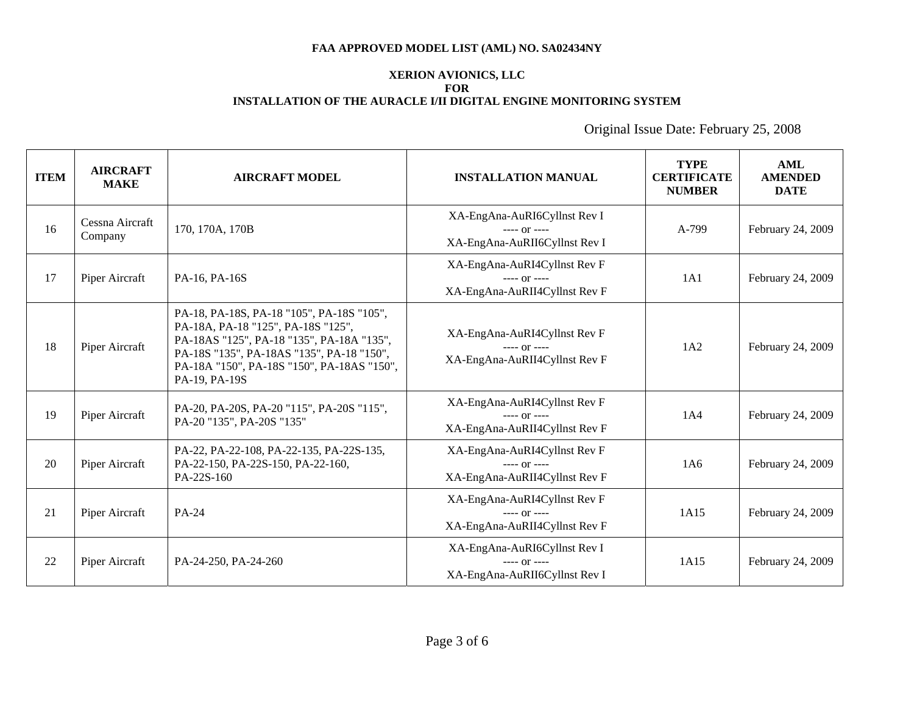# **XERION AVIONICS, LLC FOR INSTALLATION OF THE AURACLE I/II DIGITAL ENGINE MONITORING SYSTEM**

| <b>ITEM</b> | <b>AIRCRAFT</b><br><b>MAKE</b> | <b>AIRCRAFT MODEL</b>                                                                                                                                                                                                                    | <b>INSTALLATION MANUAL</b>                                                      | <b>TYPE</b><br><b>CERTIFICATE</b><br><b>NUMBER</b> | <b>AML</b><br><b>AMENDED</b><br><b>DATE</b> |
|-------------|--------------------------------|------------------------------------------------------------------------------------------------------------------------------------------------------------------------------------------------------------------------------------------|---------------------------------------------------------------------------------|----------------------------------------------------|---------------------------------------------|
| 16          | Cessna Aircraft<br>Company     | 170, 170A, 170B                                                                                                                                                                                                                          | XA-EngAna-AuRI6Cyllnst Rev I<br>$--- or ---$<br>XA-EngAna-AuRII6Cyllnst Rev I   | A-799                                              | February 24, 2009                           |
| 17          | Piper Aircraft                 | PA-16, PA-16S                                                                                                                                                                                                                            | XA-EngAna-AuRI4Cyllnst Rev F<br>$---$ or $---$<br>XA-EngAna-AuRII4Cyllnst Rev F | 1A1                                                | February 24, 2009                           |
| 18          | Piper Aircraft                 | PA-18, PA-18S, PA-18 "105", PA-18S "105",<br>PA-18A, PA-18 "125", PA-18S "125",<br>PA-18AS "125", PA-18 "135", PA-18A "135",<br>PA-18S "135", PA-18AS "135", PA-18 "150",<br>PA-18A "150", PA-18S "150", PA-18AS "150",<br>PA-19, PA-19S | XA-EngAna-AuRI4Cyllnst Rev F<br>$--- 0r$ ----<br>XA-EngAna-AuRII4Cyllnst Rev F  | 1A2                                                | February 24, 2009                           |
| 19          | Piper Aircraft                 | PA-20, PA-20S, PA-20 "115", PA-20S "115",<br>PA-20"135", PA-20S "135"                                                                                                                                                                    | XA-EngAna-AuRI4Cyllnst Rev F<br>$--- 0r$ ----<br>XA-EngAna-AuRII4Cyllnst Rev F  | 1A4                                                | February 24, 2009                           |
| 20          | Piper Aircraft                 | PA-22, PA-22-108, PA-22-135, PA-22S-135,<br>PA-22-150, PA-22S-150, PA-22-160,<br>PA-22S-160                                                                                                                                              | XA-EngAna-AuRI4Cyllnst Rev F<br>$--- or ---$<br>XA-EngAna-AuRII4Cyllnst Rev F   | 1A6                                                | February 24, 2009                           |
| 21          | Piper Aircraft                 | PA-24                                                                                                                                                                                                                                    | XA-EngAna-AuRI4Cyllnst Rev F<br>$--- 0r$ ----<br>XA-EngAna-AuRII4Cyllnst Rev F  | 1A15                                               | February 24, 2009                           |
| 22          | Piper Aircraft                 | PA-24-250, PA-24-260                                                                                                                                                                                                                     | XA-EngAna-AuRI6Cyllnst Rev I<br>$--- or ---$<br>XA-EngAna-AuRII6Cyllnst Rev I   | 1A15                                               | February 24, 2009                           |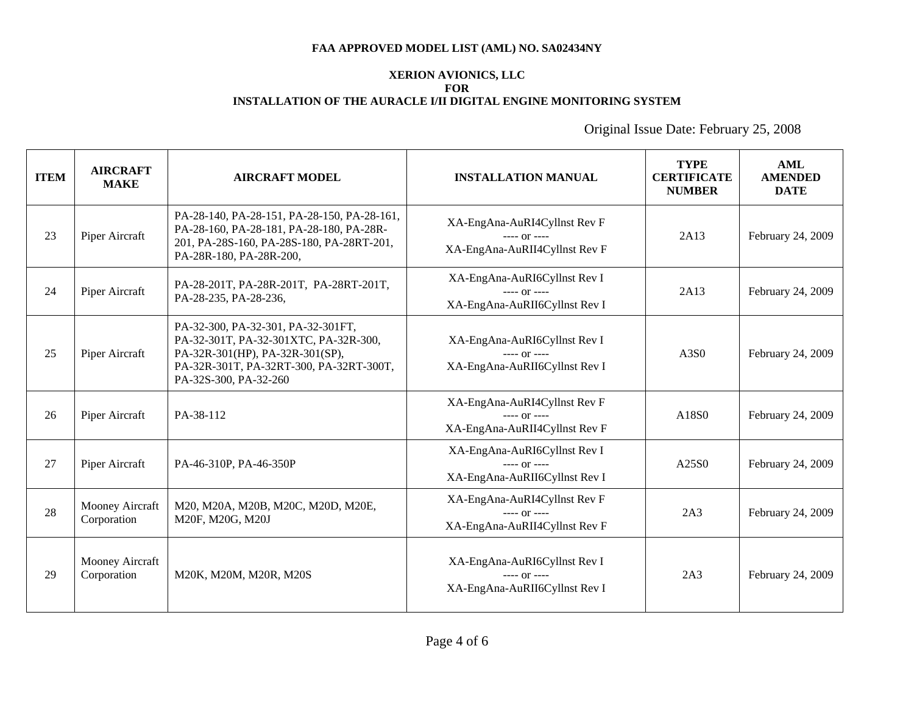# **XERION AVIONICS, LLC FOR INSTALLATION OF THE AURACLE I/II DIGITAL ENGINE MONITORING SYSTEM**

| <b>ITEM</b> | <b>AIRCRAFT</b><br><b>MAKE</b> | <b>AIRCRAFT MODEL</b>                                                                                                                                                              | <b>INSTALLATION MANUAL</b>                                                      | <b>TYPE</b><br><b>CERTIFICATE</b><br><b>NUMBER</b> | <b>AML</b><br><b>AMENDED</b><br><b>DATE</b> |
|-------------|--------------------------------|------------------------------------------------------------------------------------------------------------------------------------------------------------------------------------|---------------------------------------------------------------------------------|----------------------------------------------------|---------------------------------------------|
| 23          | Piper Aircraft                 | PA-28-140, PA-28-151, PA-28-150, PA-28-161,<br>PA-28-160, PA-28-181, PA-28-180, PA-28R-<br>201, PA-28S-160, PA-28S-180, PA-28RT-201,<br>PA-28R-180, PA-28R-200,                    | XA-EngAna-AuRI4Cyllnst Rev F<br>$--- 0r$ ----<br>XA-EngAna-AuRII4Cyllnst Rev F  | 2A13                                               | February 24, 2009                           |
| 24          | Piper Aircraft                 | PA-28-201T, PA-28R-201T, PA-28RT-201T,<br>PA-28-235, PA-28-236,                                                                                                                    | XA-EngAna-AuRI6Cyllnst Rev I<br>$---$ Or $---$<br>XA-EngAna-AuRII6Cyllnst Rev I | 2A13                                               | February 24, 2009                           |
| 25          | Piper Aircraft                 | PA-32-300, PA-32-301, PA-32-301FT,<br>PA-32-301T, PA-32-301XTC, PA-32R-300,<br>PA-32R-301(HP), PA-32R-301(SP),<br>PA-32R-301T, PA-32RT-300, PA-32RT-300T,<br>PA-32S-300, PA-32-260 | XA-EngAna-AuRI6Cyllnst Rev I<br>$--- 0r$ ----<br>XA-EngAna-AuRII6Cyllnst Rev I  | A3S0                                               | February 24, 2009                           |
| 26          | Piper Aircraft                 | PA-38-112                                                                                                                                                                          | XA-EngAna-AuRI4Cyllnst Rev F<br>$---$ or $---$<br>XA-EngAna-AuRII4Cyllnst Rev F | A18 <sub>S0</sub>                                  | February 24, 2009                           |
| 27          | Piper Aircraft                 | PA-46-310P, PA-46-350P                                                                                                                                                             | XA-EngAna-AuRI6Cyllnst Rev I<br>$--- 0r$ ----<br>XA-EngAna-AuRII6Cyllnst Rev I  | A25S0                                              | February 24, 2009                           |
| 28          | Mooney Aircraft<br>Corporation | M20, M20A, M20B, M20C, M20D, M20E,<br>M20F, M20G, M20J                                                                                                                             | XA-EngAna-AuRI4Cyllnst Rev F<br>$--- or ---$<br>XA-EngAna-AuRII4Cyllnst Rev F   | 2A3                                                | February 24, 2009                           |
| 29          | Mooney Aircraft<br>Corporation | M20K, M20M, M20R, M20S                                                                                                                                                             | XA-EngAna-AuRI6Cyllnst Rev I<br>$--- 0r$ ----<br>XA-EngAna-AuRII6Cyllnst Rev I  | 2A3                                                | February 24, 2009                           |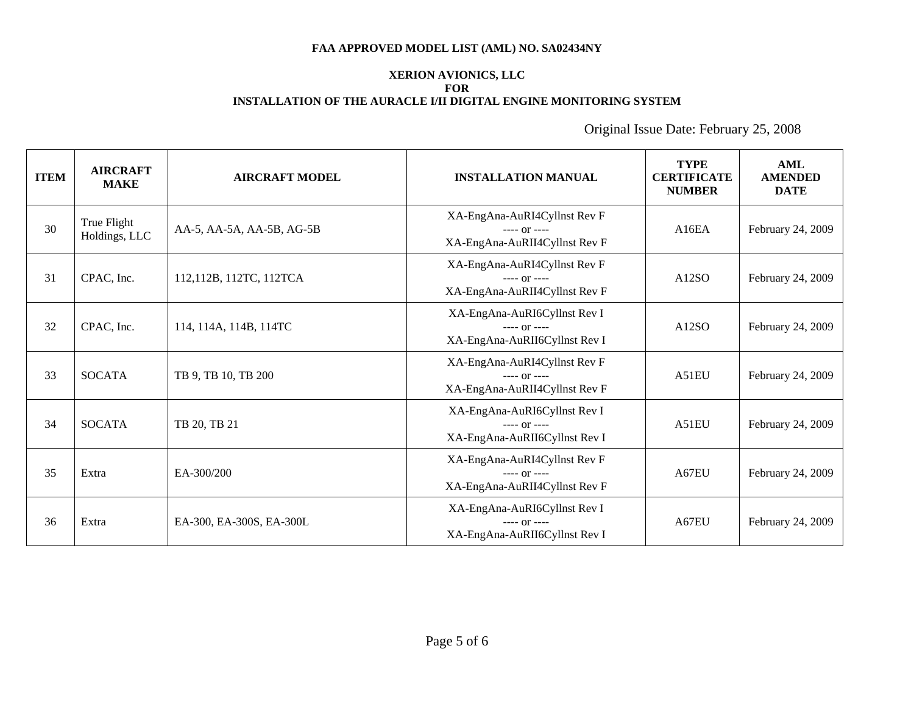### **XERION AVIONICS, LLC FOR INSTALLATION OF THE AURACLE I/II DIGITAL ENGINE MONITORING SYSTEM**

| <b>ITEM</b> | <b>AIRCRAFT</b><br><b>MAKE</b> | <b>AIRCRAFT MODEL</b>     | <b>INSTALLATION MANUAL</b>                                                      | <b>TYPE</b><br><b>CERTIFICATE</b><br><b>NUMBER</b> | <b>AML</b><br><b>AMENDED</b><br><b>DATE</b> |
|-------------|--------------------------------|---------------------------|---------------------------------------------------------------------------------|----------------------------------------------------|---------------------------------------------|
| 30          | True Flight<br>Holdings, LLC   | AA-5, AA-5A, AA-5B, AG-5B | XA-EngAna-AuRI4Cyllnst Rev F<br>$--- 0r$ ----<br>XA-EngAna-AuRII4Cyllnst Rev F  | A16EA                                              | February 24, 2009                           |
| 31          | CPAC, Inc.                     | 112,112B, 112TC, 112TCA   | XA-EngAna-AuRI4Cyllnst Rev F<br>$--- or ---$<br>XA-EngAna-AuRII4Cyllnst Rev F   | A12SO                                              | February 24, 2009                           |
| 32          | CPAC, Inc.                     | 114, 114A, 114B, 114TC    | XA-EngAna-AuRI6Cyllnst Rev I<br>$--- 0r$ ----<br>XA-EngAna-AuRII6Cyllnst Rev I  | A12SO                                              | February 24, 2009                           |
| 33          | <b>SOCATA</b>                  | TB 9, TB 10, TB 200       | XA-EngAna-AuRI4Cyllnst Rev F<br>$--- or ---$<br>XA-EngAna-AuRII4Cyllnst Rev F   | A51EU                                              | February 24, 2009                           |
| 34          | <b>SOCATA</b>                  | TB 20, TB 21              | XA-EngAna-AuRI6Cyllnst Rev I<br>$--- 0r$ ----<br>XA-EngAna-AuRII6Cyllnst Rev I  | A51EU                                              | February 24, 2009                           |
| 35          | Extra                          | EA-300/200                | XA-EngAna-AuRI4Cyllnst Rev F<br>$--- or ---$<br>XA-EngAna-AuRII4Cyllnst Rev F   | A67EU                                              | February 24, 2009                           |
| 36          | Extra                          | EA-300, EA-300S, EA-300L  | XA-EngAna-AuRI6Cyllnst Rev I<br>$---$ Or $---$<br>XA-EngAna-AuRII6Cyllnst Rev I | A67EU                                              | February 24, 2009                           |